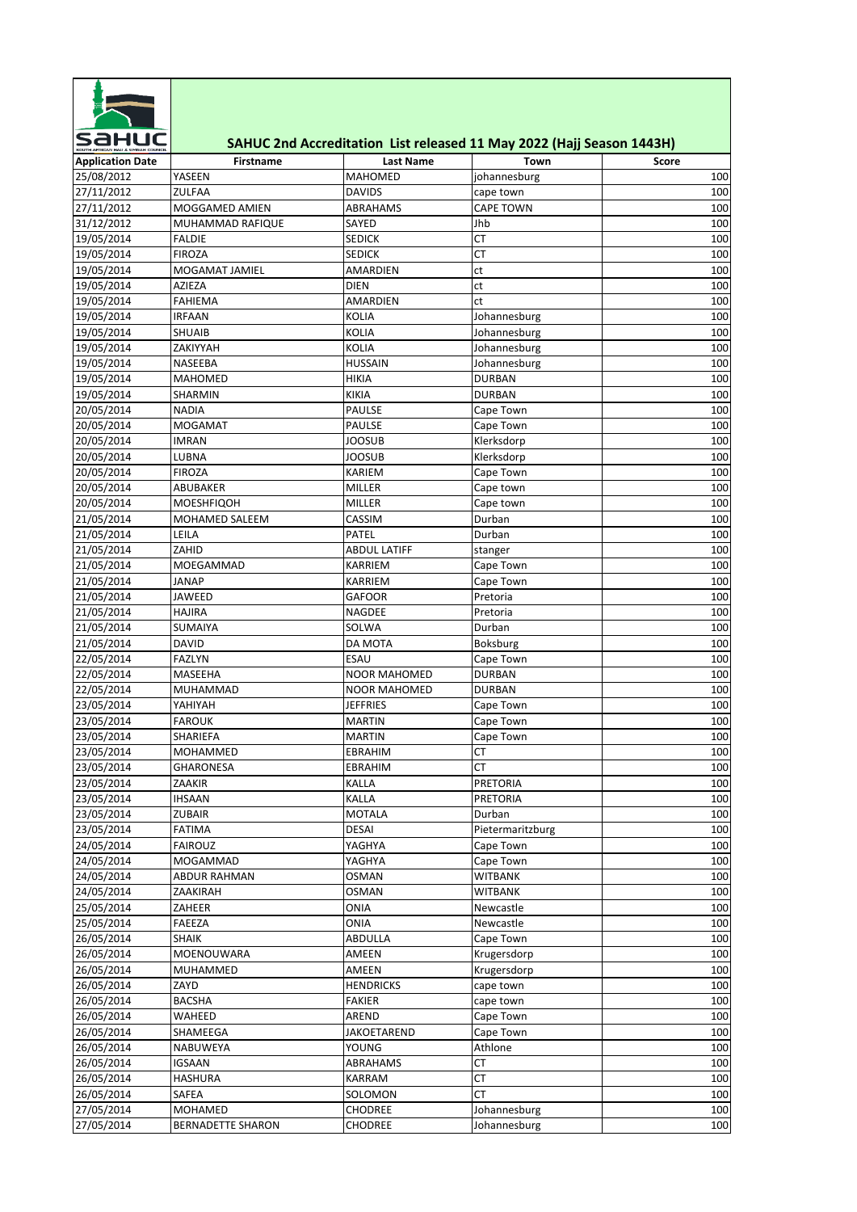

## **SAHUC 2nd Accreditation List released 11 May 2022 (Hajj Season 1443H)**

| <b>Application Date</b>  | Firstname         | <b>Last Name</b>          | Town             | Score |
|--------------------------|-------------------|---------------------------|------------------|-------|
| 25/08/2012               | YASEEN            | <b>MAHOMED</b>            | johannesburg     | 100   |
| 27/11/2012               | <b>ZULFAA</b>     | <b>DAVIDS</b>             | cape town        | 100   |
| 27/11/2012               | MOGGAMED AMIEN    | ABRAHAMS                  | <b>CAPE TOWN</b> | 100   |
| 31/12/2012               | MUHAMMAD RAFIQUE  | SAYED                     | Jhb              | 100   |
| 19/05/2014               | <b>FALDIE</b>     | <b>SEDICK</b>             | <b>CT</b>        | 100   |
| 19/05/2014               | <b>FIROZA</b>     | <b>SEDICK</b>             | СT               | 100   |
| 19/05/2014               | MOGAMAT JAMIEL    | AMARDIEN                  | ct               | 100   |
| 19/05/2014               | AZIEZA            | <b>DIEN</b>               | ct               | 100   |
| 19/05/2014               | <b>FAHIEMA</b>    | AMARDIEN                  | ct               | 100   |
| 19/05/2014               | <b>IRFAAN</b>     | <b>KOLIA</b>              | Johannesburg     | 100   |
| 19/05/2014               | <b>SHUAIB</b>     | <b>KOLIA</b>              | Johannesburg     | 100   |
| 19/05/2014               | ZAKIYYAH          | KOLIA                     | Johannesburg     | 100   |
| 19/05/2014               | NASEEBA           | HUSSAIN                   | Johannesburg     | 100   |
| 19/05/2014               | MAHOMED           | <b>HIKIA</b>              | <b>DURBAN</b>    | 100   |
| 19/05/2014               | SHARMIN           | <b>KIKIA</b>              | <b>DURBAN</b>    | 100   |
| 20/05/2014               | <b>NADIA</b>      | PAULSE                    | Cape Town        | 100   |
| 20/05/2014               | <b>MOGAMAT</b>    | PAULSE                    | Cape Town        | 100   |
| 20/05/2014               | IMRAN             | JOOSUB                    | Klerksdorp       | 100   |
| 20/05/2014               | LUBNA             | JOOSUB                    | Klerksdorp       | 100   |
| 20/05/2014               | <b>FIROZA</b>     | KARIEM                    | Cape Town        | 100   |
| 20/05/2014               | ABUBAKER          | MILLER                    | Cape town        | 100   |
| 20/05/2014               | <b>MOESHFIQOH</b> | MILLER                    | Cape town        | 100   |
| 21/05/2014               | MOHAMED SALEEM    | CASSIM                    | Durban           | 100   |
| 21/05/2014               | LEILA             | PATEL                     | Durban           | 100   |
| 21/05/2014               | ZAHID             | <b>ABDUL LATIFF</b>       | stanger          | 100   |
| 21/05/2014               | MOEGAMMAD         | KARRIEM                   | Cape Town        | 100   |
| 21/05/2014               | JANAP             | KARRIEM                   | Cape Town        | 100   |
| 21/05/2014               | JAWEED            | GAFOOR                    | Pretoria         | 100   |
| 21/05/2014               | HAJIRA            | NAGDEE                    | Pretoria         | 100   |
| 21/05/2014               | SUMAIYA           | SOLWA                     | Durban           | 100   |
| 21/05/2014               | <b>DAVID</b>      | DA MOTA                   | Boksburg         | 100   |
| 22/05/2014               | <b>FAZLYN</b>     | <b>ESAU</b>               | Cape Town        | 100   |
| 22/05/2014               | MASEEHA           | NOOR MAHOMED              | <b>DURBAN</b>    | 100   |
| 22/05/2014               | MUHAMMAD          | NOOR MAHOMED              | <b>DURBAN</b>    | 100   |
| 23/05/2014               | YAHIYAH           | JEFFRIES                  | Cape Town        | 100   |
| 23/05/2014               | <b>FAROUK</b>     | MARTIN                    | Cape Town        | 100   |
| 23/05/2014               | SHARIEFA          | <b>MARTIN</b>             | Cape Town        | 100   |
| 23/05/2014               | MOHAMMED          | EBRAHIM                   | СT               | 100   |
| 23/05/2014               | GHARONESA         | EBRAHIM                   | СT               | 100   |
| 23/05/2014               | ZAAKIR            | KALLA                     | PRETORIA         | 100   |
| 23/05/2014               | <b>IHSAAN</b>     | KALLA                     | <b>PRETORIA</b>  | 100   |
| 23/05/2014               | ZUBAIR            | MOTALA                    | Durban           | 100   |
| 23/05/2014               | <b>FATIMA</b>     | DESAI                     | Pietermaritzburg | 100   |
| 24/05/2014               | <b>FAIROUZ</b>    | YAGHYA                    | Cape Town        | 100   |
| 24/05/2014               | MOGAMMAD          | YAGHYA                    | Cape Town        | 100   |
| 24/05/2014               | ABDUR RAHMAN      | <b>OSMAN</b>              | WITBANK          | 100   |
| 24/05/2014               | ZAAKIRAH          | <b>OSMAN</b>              | <b>WITBANK</b>   | 100   |
| 25/05/2014               | ZAHEER            | ONIA                      | Newcastle        | 100   |
| 25/05/2014               | FAEEZA            | ONIA                      | Newcastle        | 100   |
|                          |                   |                           |                  |       |
| 26/05/2014<br>26/05/2014 | SHAIK             | ABDULLA                   | Cape Town        | 100   |
|                          | MOENOUWARA        | AMEEN                     | Krugersdorp      | 100   |
| 26/05/2014               | MUHAMMED          | AMEEN<br><b>HENDRICKS</b> | Krugersdorp      | 100   |
| 26/05/2014               | ZAYD              |                           | cape town        | 100   |
| 26/05/2014               | BACSHA            | <b>FAKIER</b>             | cape town        | 100   |
| 26/05/2014               | WAHEED            | AREND                     | Cape Town        | 100   |
| 26/05/2014               | SHAMEEGA          | JAKOETAREND               | Cape Town        | 100   |
| 26/05/2014               | NABUWEYA          | YOUNG                     | Athlone          | 100   |
| 26/05/2014               | IGSAAN            | ABRAHAMS                  | СT               | 100   |
| 26/05/2014               | HASHURA           | KARRAM                    | СT               | 100   |
| 26/05/2014               | SAFEA             | SOLOMON                   | СT               | 100   |
| 27/05/2014               | MOHAMED           | <b>CHODREE</b>            | Johannesburg     | 100   |
| 27/05/2014               | BERNADETTE SHARON | <b>CHODREE</b>            | Johannesburg     | 100   |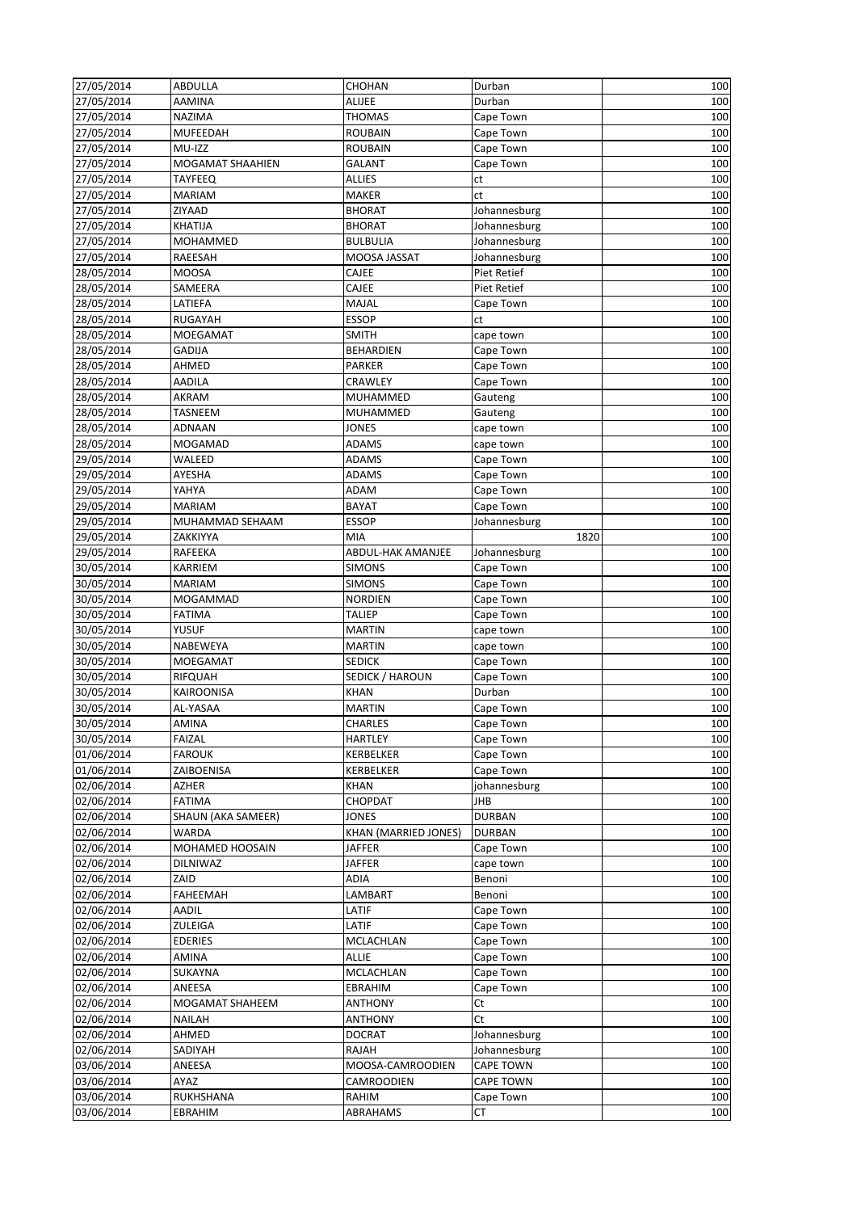| 27/05/2014               | ABDULLA              | CHOHAN               | Durban           | 100        |
|--------------------------|----------------------|----------------------|------------------|------------|
| 27/05/2014               | <b>AAMINA</b>        | <b>ALIJEE</b>        | Durban           | 100        |
| 27/05/2014               | NAZIMA               | <b>THOMAS</b>        | Cape Town        | 100        |
| 27/05/2014               | <b>MUFEEDAH</b>      | <b>ROUBAIN</b>       | Cape Town        | 100        |
| 27/05/2014               | MU-IZZ               | ROUBAIN              | Cape Town        | 100        |
| 27/05/2014               | MOGAMAT SHAAHIEN     | <b>GALANT</b>        | Cape Town        | 100        |
| 27/05/2014               | TAYFEEQ              | <b>ALLIES</b>        | ct               | 100        |
| 27/05/2014               | <b>MARIAM</b>        | <b>MAKER</b>         | ct               | 100        |
| 27/05/2014               | ZIYAAD               | <b>BHORAT</b>        | Johannesburg     | 100        |
| 27/05/2014               | KHATIJA              | <b>BHORAT</b>        | Johannesburg     | 100        |
| 27/05/2014               | <b>MOHAMMED</b>      | <b>BULBULIA</b>      | Johannesburg     | 100        |
| 27/05/2014               | RAEESAH              | MOOSA JASSAT         | Johannesburg     | 100        |
| 28/05/2014               | <b>MOOSA</b>         | CAJEE                | Piet Retief      | 100        |
| 28/05/2014               | SAMEERA              | CAJEE                | Piet Retief      | 100        |
| 28/05/2014               | LATIEFA              | MAJAL                | Cape Town        | 100        |
| 28/05/2014               | RUGAYAH              | ESSOP                | ct               | 100        |
| 28/05/2014               | MOEGAMAT             | <b>SMITH</b>         | cape town        | 100        |
| 28/05/2014               | <b>GADIJA</b>        | <b>BEHARDIEN</b>     | Cape Town        | 100        |
| 28/05/2014               | AHMED                | PARKER               | Cape Town        | 100        |
| 28/05/2014               | AADILA               | CRAWLEY              | Cape Town        | 100        |
| 28/05/2014               | AKRAM                | <b>MUHAMMED</b>      | Gauteng          | 100        |
| 28/05/2014               | TASNEEM              | MUHAMMED             | Gauteng          | 100        |
| 28/05/2014               | ADNAAN               | JONES                | cape town        | 100        |
| 28/05/2014               | MOGAMAD              | <b>ADAMS</b>         | cape town        | 100        |
| 29/05/2014               | WALEED               | <b>ADAMS</b>         | Cape Town        | 100        |
| 29/05/2014               | AYESHA               | <b>ADAMS</b>         | Cape Town        | 100        |
| 29/05/2014               | YAHYA                | ADAM                 | Cape Town        | 100        |
| 29/05/2014               | <b>MARIAM</b>        | <b>BAYAT</b>         | Cape Town        | 100        |
| 29/05/2014               | MUHAMMAD SEHAAM      | <b>ESSOP</b>         | Johannesburg     | 100        |
| 29/05/2014               | ZAKKIYYA             | MIA                  | 1820             | 100        |
| 29/05/2014               | RAFEEKA              | ABDUL-HAK AMANJEE    | Johannesburg     | 100        |
| 30/05/2014               | KARRIEM              | <b>SIMONS</b>        | Cape Town        | 100        |
| 30/05/2014               | <b>MARIAM</b>        | <b>SIMONS</b>        | Cape Town        | 100        |
|                          |                      |                      |                  |            |
|                          |                      |                      |                  |            |
| 30/05/2014               | MOGAMMAD             | <b>NORDIEN</b>       | Cape Town        | 100        |
| 30/05/2014               | FATIMA               | TALIEP               | Cape Town        | 100        |
| 30/05/2014               | YUSUF                | <b>MARTIN</b>        | cape town        | 100        |
| 30/05/2014               | NABEWEYA             | <b>MARTIN</b>        | cape town        | 100        |
| 30/05/2014               | MOEGAMAT             | <b>SEDICK</b>        | Cape Town        | 100        |
| 30/05/2014               | <b>RIFQUAH</b>       | SEDICK / HAROUN      | Cape Town        | 100        |
| 30/05/2014               | KAIROONISA           | <b>KHAN</b>          | Durban           | 100        |
| 30/05/2014               | AL-YASAA             | <b>MARTIN</b>        | Cape Town        | 100        |
| 30/05/2014               | AMINA                | CHARLES              | Cape Town        | 100        |
| 30/05/2014               | <b>FAIZAL</b>        | <b>HARTLEY</b>       | Cape Town        | 100        |
| 01/06/2014               | <b>FAROUK</b>        | KERBELKER            | Cape Town        | 100        |
| 01/06/2014               | ZAIBOENISA           | KERBELKER            | Cape Town        | 100        |
| 02/06/2014               | AZHER                | <b>KHAN</b>          | johannesburg     | 100        |
| 02/06/2014               | <b>FATIMA</b>        | CHOPDAT              | JHB              | 100        |
| 02/06/2014               | SHAUN (AKA SAMEER)   | <b>JONES</b>         | <b>DURBAN</b>    | 100        |
| 02/06/2014               | WARDA                | KHAN (MARRIED JONES) | <b>DURBAN</b>    | 100        |
| 02/06/2014               | MOHAMED HOOSAIN      | JAFFER               | Cape Town        | 100        |
| 02/06/2014               | DILNIWAZ             | JAFFER               | cape town        | 100        |
| 02/06/2014               | ZAID                 | ADIA                 | Benoni           | 100        |
| 02/06/2014               | <b>FAHEEMAH</b>      | LAMBART              | Benoni           | 100        |
| 02/06/2014               | AADIL                | LATIF                | Cape Town        | 100        |
| 02/06/2014               | ZULEIGA              | LATIF                | Cape Town        | 100        |
| 02/06/2014               | <b>EDERIES</b>       | MCLACHLAN            | Cape Town        | 100        |
| 02/06/2014               | AMINA                | ALLIE                | Cape Town        | 100        |
| 02/06/2014               | SUKAYNA              | MCLACHLAN            | Cape Town        | 100        |
| 02/06/2014               | ANEESA               | EBRAHIM              | Cape Town        | 100        |
| 02/06/2014               | MOGAMAT SHAHEEM      | ANTHONY              | Ct               | 100        |
| 02/06/2014               | NAILAH               | ANTHONY              | Ct               | 100        |
| 02/06/2014               | AHMED                | <b>DOCRAT</b>        | Johannesburg     | 100        |
| 02/06/2014               | SADIYAH              | RAJAH                | Johannesburg     | 100        |
| 03/06/2014               | ANEESA               | MOOSA-CAMROODIEN     | <b>CAPE TOWN</b> | 100        |
| 03/06/2014               | AYAZ                 | CAMROODIEN           | <b>CAPE TOWN</b> | 100        |
| 03/06/2014<br>03/06/2014 | RUKHSHANA<br>EBRAHIM | RAHIM<br>ABRAHAMS    | Cape Town<br>СT  | 100<br>100 |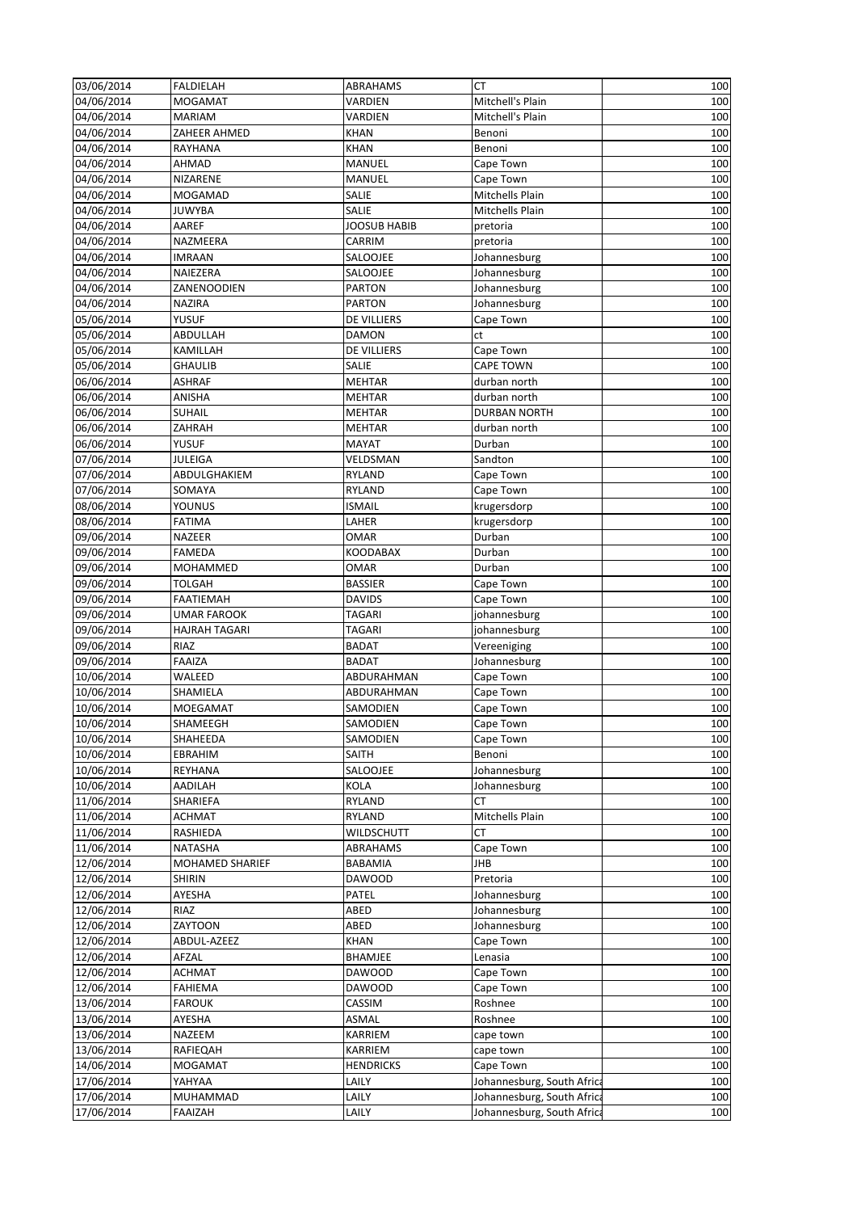| 03/06/2014 | <b>FALDIELAH</b> | ABRAHAMS         | СT                               | 100        |
|------------|------------------|------------------|----------------------------------|------------|
| 04/06/2014 | <b>MOGAMAT</b>   | VARDIEN          | Mitchell's Plain                 | 100        |
| 04/06/2014 | <b>MARIAM</b>    | VARDIEN          | Mitchell's Plain                 | 100        |
| 04/06/2014 | ZAHEER AHMED     | <b>KHAN</b>      | Benoni                           | 100        |
| 04/06/2014 | RAYHANA          | <b>KHAN</b>      | Benoni                           | 100        |
| 04/06/2014 | AHMAD            | MANUEL           | Cape Town                        | 100        |
| 04/06/2014 | NIZARENE         | MANUEL           | Cape Town                        | 100        |
| 04/06/2014 | MOGAMAD          | SALIE            | Mitchells Plain                  | 100        |
| 04/06/2014 | <b>JUWYBA</b>    | SALIE            | Mitchells Plain                  | 100        |
| 04/06/2014 | AAREF            | JOOSUB HABIB     | pretoria                         | 100        |
| 04/06/2014 | NAZMEERA         | CARRIM           | pretoria                         | 100        |
| 04/06/2014 | <b>IMRAAN</b>    | SALOOJEE         | Johannesburg                     | 100        |
| 04/06/2014 | NAIEZERA         | SALOOJEE         | Johannesburg                     | 100        |
| 04/06/2014 | ZANENOODIEN      | <b>PARTON</b>    | Johannesburg                     | 100        |
| 04/06/2014 | <b>NAZIRA</b>    | <b>PARTON</b>    | Johannesburg                     | 100        |
| 05/06/2014 | YUSUF            | DE VILLIERS      | Cape Town                        | 100        |
| 05/06/2014 | ABDULLAH         | DAMON            | ct                               | 100        |
| 05/06/2014 | KAMILLAH         | DE VILLIERS      | Cape Town                        | 100        |
| 05/06/2014 |                  |                  |                                  |            |
|            | <b>GHAULIB</b>   | SALIE            | <b>CAPE TOWN</b><br>durban north | 100        |
| 06/06/2014 | <b>ASHRAF</b>    | <b>MEHTAR</b>    |                                  | 100        |
| 06/06/2014 | ANISHA           | <b>MEHTAR</b>    | durban north                     | 100        |
| 06/06/2014 | <b>SUHAIL</b>    | <b>MEHTAR</b>    | <b>DURBAN NORTH</b>              | 100        |
| 06/06/2014 | ZAHRAH           | <b>MEHTAR</b>    | durban north                     | 100        |
| 06/06/2014 | YUSUF            | <b>MAYAT</b>     | Durban                           | 100        |
| 07/06/2014 | JULEIGA          | VELDSMAN         | Sandton                          | 100        |
| 07/06/2014 | ABDULGHAKIEM     | RYLAND           | Cape Town                        | 100        |
| 07/06/2014 | SOMAYA           | RYLAND           | Cape Town                        | 100        |
| 08/06/2014 | YOUNUS           | ISMAIL           | krugersdorp                      | 100        |
| 08/06/2014 | <b>FATIMA</b>    | LAHER            | krugersdorp                      | 100        |
| 09/06/2014 | NAZEER           | OMAR             | Durban                           | 100        |
| 09/06/2014 | <b>FAMEDA</b>    | KOODABAX         | Durban                           | 100        |
| 09/06/2014 | MOHAMMED         | <b>OMAR</b>      | Durban                           | 100        |
| 09/06/2014 | <b>TOLGAH</b>    | <b>BASSIER</b>   | Cape Town                        | 100        |
| 09/06/2014 | <b>FAATIEMAH</b> | <b>DAVIDS</b>    | Cape Town                        | 100        |
| 09/06/2014 | UMAR FAROOK      | TAGARI           | johannesburg                     | 100        |
| 09/06/2014 | HAJRAH TAGARI    | TAGARI           | johannesburg                     | 100        |
| 09/06/2014 | RIAZ             | <b>BADAT</b>     | Vereeniging                      | 100        |
| 09/06/2014 | <b>FAAIZA</b>    | <b>BADAT</b>     | Johannesburg                     | 100        |
| 10/06/2014 | WALEED           | ABDURAHMAN       | Cape Town                        | 100        |
| 10/06/2014 | SHAMIELA         | ABDURAHMAN       | Cape Town                        | 100        |
| 10/06/2014 | <b>MOEGAMAT</b>  | SAMODIEN         | Cape Town                        | 100        |
| 10/06/2014 | SHAMEEGH         | <b>SAMODIEN</b>  | Cape Town                        | 100        |
| 10/06/2014 | SHAHEEDA         | SAMODIEN         | Cape Town                        | 100        |
| 10/06/2014 | EBRAHIM          | SAITH            | Benoni                           | 100        |
| 10/06/2014 | REYHANA          | SALOOJEE         | Johannesburg                     | 100        |
| 10/06/2014 | AADILAH          | KOLA             | Johannesburg                     | 100        |
| 11/06/2014 | SHARIEFA         | <b>RYLAND</b>    | СT                               | 100        |
| 11/06/2014 | <b>ACHMAT</b>    | RYLAND           | Mitchells Plain                  | 100        |
| 11/06/2014 | RASHIEDA         | WILDSCHUTT       | СT                               | 100        |
| 11/06/2014 | NATASHA          | ABRAHAMS         | Cape Town                        | 100        |
| 12/06/2014 | MOHAMED SHARIEF  | BABAMIA          | JHB                              | 100        |
| 12/06/2014 | <b>SHIRIN</b>    | <b>DAWOOD</b>    | Pretoria                         | 100        |
| 12/06/2014 | AYESHA           | PATEL            | Johannesburg                     | 100        |
| 12/06/2014 | RIAZ             | ABED             | Johannesburg                     | 100        |
| 12/06/2014 | ZAYTOON          | ABED             | Johannesburg                     | 100        |
| 12/06/2014 | ABDUL-AZEEZ      | <b>KHAN</b>      | Cape Town                        | 100        |
| 12/06/2014 | AFZAL            | BHAMJEE          | Lenasia                          | 100        |
| 12/06/2014 | <b>ACHMAT</b>    | <b>DAWOOD</b>    | Cape Town                        | 100        |
| 12/06/2014 | FAHIEMA          | <b>DAWOOD</b>    | Cape Town                        | 100        |
| 13/06/2014 | FAROUK           | CASSIM           | Roshnee                          | 100        |
| 13/06/2014 | AYESHA           | ASMAL            | Roshnee                          | 100        |
| 13/06/2014 |                  |                  |                                  |            |
| 13/06/2014 | NAZEEM           | KARRIEM          | cape town                        | 100<br>100 |
|            | RAFIEQAH         | KARRIEM          | cape town                        |            |
| 14/06/2014 | MOGAMAT          | <b>HENDRICKS</b> | Cape Town                        | 100        |
| 17/06/2014 | YAHYAA           | LAILY            | Johannesburg, South Africa       | 100        |
| 17/06/2014 | MUHAMMAD         | LAILY            | Johannesburg, South Africa       | 100        |
| 17/06/2014 | FAAIZAH          | LAILY            | Johannesburg, South Africa       | 100        |